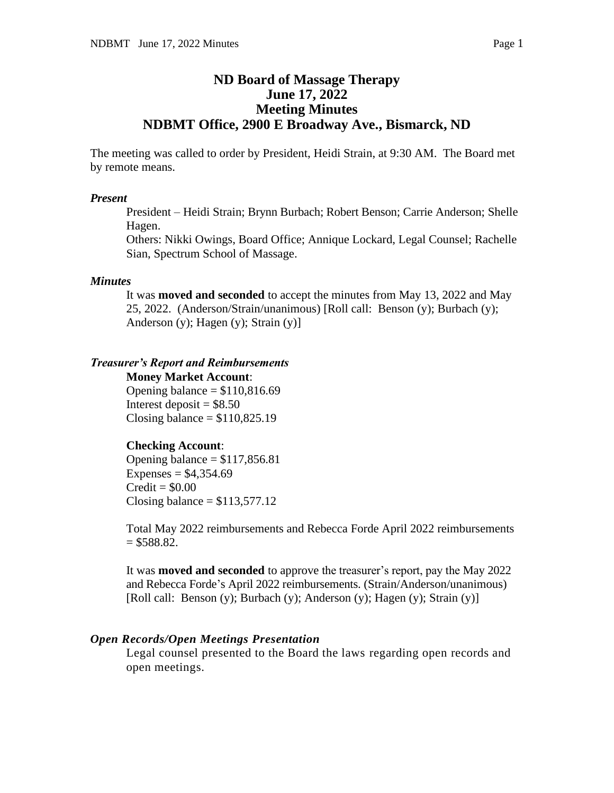## **ND Board of Massage Therapy June 17, 2022 Meeting Minutes NDBMT Office, 2900 E Broadway Ave., Bismarck, ND**

The meeting was called to order by President, Heidi Strain, at 9:30 AM. The Board met by remote means.

#### *Present*

President – Heidi Strain; Brynn Burbach; Robert Benson; Carrie Anderson; Shelle Hagen.

Others: Nikki Owings, Board Office; Annique Lockard, Legal Counsel; Rachelle Sian, Spectrum School of Massage.

## *Minutes*

It was **moved and seconded** to accept the minutes from May 13, 2022 and May 25, 2022. (Anderson/Strain/unanimous) [Roll call: Benson (y); Burbach (y); Anderson (y); Hagen (y); Strain (y)]

## *Treasurer's Report and Reimbursements*

**Money Market Account**: Opening balance  $= $110,816.69$ Interest deposit  $= $8.50$ Closing balance  $= $110,825.19$ 

## **Checking Account**:

Opening balance  $= $117,856.81$ Expenses =  $$4,354.69$  $Credit = $0.00$ Closing balance  $= $113,577.12$ 

Total May 2022 reimbursements and Rebecca Forde April 2022 reimbursements  $= $588.82.$ 

It was **moved and seconded** to approve the treasurer's report, pay the May 2022 and Rebecca Forde's April 2022 reimbursements. (Strain/Anderson/unanimous) [Roll call: Benson (y); Burbach (y); Anderson (y); Hagen (y); Strain (y)]

## *Open Records/Open Meetings Presentation*

Legal counsel presented to the Board the laws regarding open records and open meetings.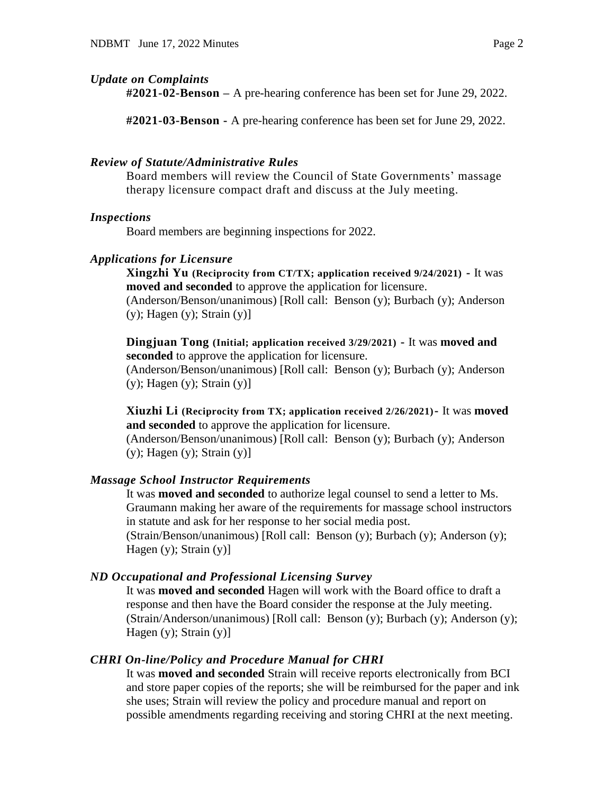## *Update on Complaints*

**#2021-02-Benson –** A pre-hearing conference has been set for June 29, 2022.

**#2021-03-Benson -** A pre-hearing conference has been set for June 29, 2022.

### *Review of Statute/Administrative Rules*

Board members will review the Council of State Governments' massage therapy licensure compact draft and discuss at the July meeting.

#### *Inspections*

Board members are beginning inspections for 2022.

#### *Applications for Licensure*

**Xingzhi Yu (Reciprocity from CT/TX; application received 9/24/2021) -** It was **moved and seconded** to approve the application for licensure. (Anderson/Benson/unanimous) [Roll call: Benson (y); Burbach (y); Anderson

 $(y)$ ; Hagen  $(y)$ ; Strain  $(y)$ ]

**Dingjuan Tong (Initial; application received 3/29/2021) -** It was **moved and seconded** to approve the application for licensure. (Anderson/Benson/unanimous) [Roll call: Benson (y); Burbach (y); Anderson  $(y)$ ; Hagen  $(y)$ ; Strain  $(y)$ ]

**Xiuzhi Li (Reciprocity from TX; application received 2/26/2021)-** It was **moved and seconded** to approve the application for licensure.

(Anderson/Benson/unanimous) [Roll call: Benson (y); Burbach (y); Anderson  $(y)$ ; Hagen  $(y)$ ; Strain  $(y)$ ]

#### *Massage School Instructor Requirements*

It was **moved and seconded** to authorize legal counsel to send a letter to Ms. Graumann making her aware of the requirements for massage school instructors in statute and ask for her response to her social media post.

(Strain/Benson/unanimous) [Roll call: Benson (y); Burbach (y); Anderson (y); Hagen  $(y)$ ; Strain  $(y)$ ]

## *ND Occupational and Professional Licensing Survey*

It was **moved and seconded** Hagen will work with the Board office to draft a response and then have the Board consider the response at the July meeting. (Strain/Anderson/unanimous) [Roll call: Benson (y); Burbach (y); Anderson (y); Hagen (y); Strain (y)]

## *CHRI On-line/Policy and Procedure Manual for CHRI*

It was **moved and seconded** Strain will receive reports electronically from BCI and store paper copies of the reports; she will be reimbursed for the paper and ink she uses; Strain will review the policy and procedure manual and report on possible amendments regarding receiving and storing CHRI at the next meeting.